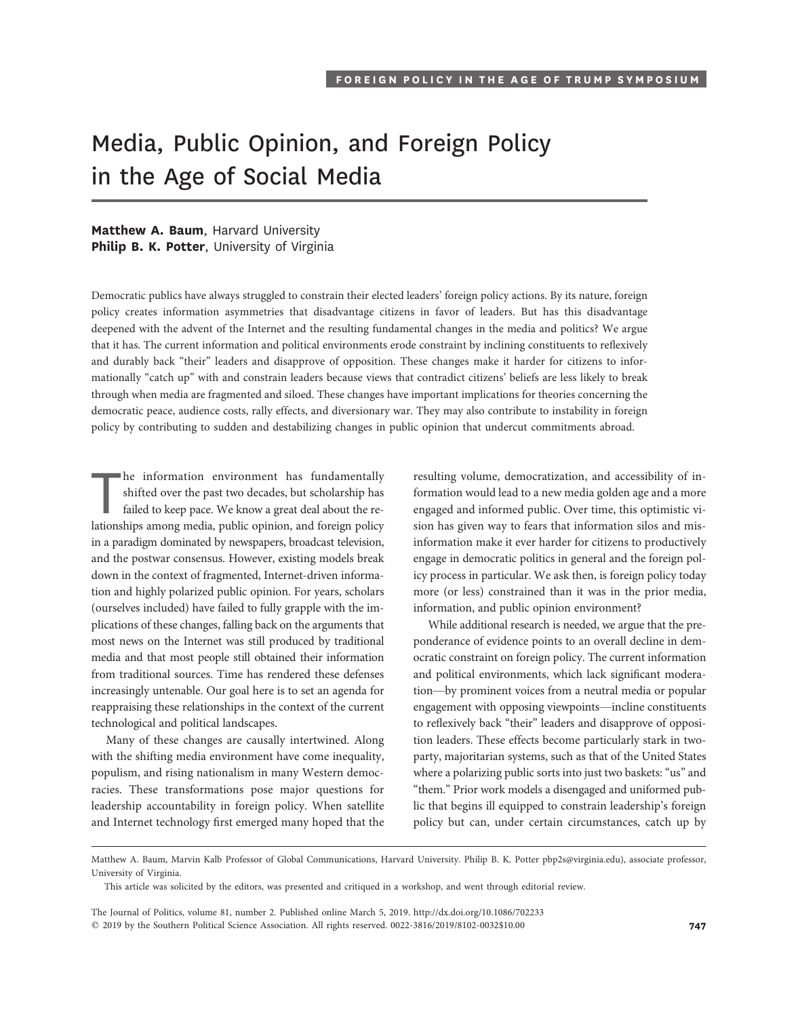# Media, Public Opinion, and Foreign Policy in the Age of Social Media

# Matthew A. Baum, Harvard University Philip B. K. Potter, University of Virginia

Democratic publics have always struggled to constrain their elected leaders' foreign policy actions. By its nature, foreign policy creates information asymmetries that disadvantage citizens in favor of leaders. But has this disadvantage deepened with the advent of the Internet and the resulting fundamental changes in the media and politics? We argue that it has. The current information and political environments erode constraint by inclining constituents to reflexively and durably back "their" leaders and disapprove of opposition. These changes make it harder for citizens to informationally "catch up" with and constrain leaders because views that contradict citizens' beliefs are less likely to break through when media are fragmented and siloed. These changes have important implications for theories concerning the democratic peace, audience costs, rally effects, and diversionary war. They may also contribute to instability in foreign policy by contributing to sudden and destabilizing changes in public opinion that undercut commitments abroad.

he information environment has fundamentally shifted over the past two decades, but scholarship has failed to keep pace. We know a great deal about the relationships among media, public opinion, and foreign policy he information environment has fundamentally shifted over the past two decades, but scholarship has failed to keep pace. We know a great deal about the rein a paradigm dominated by newspapers, broadcast television, and the postwar consensus. However, existing models break down in the context of fragmented, Internet-driven information and highly polarized public opinion. For years, scholars (ourselves included) have failed to fully grapple with the implications of these changes, falling back on the arguments that most news on the Internet was still produced by traditional media and that most people still obtained their information from traditional sources. Time has rendered these defenses increasingly untenable. Our goal here is to set an agenda for reappraising these relationships in the context of the current technological and political landscapes.

Many of these changes are causally intertwined. Along with the shifting media environment have come inequality, populism, and rising nationalism in many Western democracies. These transformations pose major questions for leadership accountability in foreign policy. When satellite and Internet technology first emerged many hoped that the

resulting volume, democratization, and accessibility of information would lead to a new media golden age and a more engaged and informed public. Over time, this optimistic vision has given way to fears that information silos and misinformation make it ever harder for citizens to productively engage in democratic politics in general and the foreign policy process in particular. We ask then, is foreign policy today more (or less) constrained than it was in the prior media, information, and public opinion environment?

While additional research is needed, we argue that the preponderance of evidence points to an overall decline in democratic constraint on foreign policy. The current information and political environments, which lack significant moderation—by prominent voices from a neutral media or popular engagement with opposing viewpoints—incline constituents to reflexively back "their" leaders and disapprove of opposition leaders. These effects become particularly stark in twoparty, majoritarian systems, such as that of the United States where a polarizing public sorts into just two baskets: "us" and "them." Prior work models a disengaged and uniformed public that begins ill equipped to constrain leadership's foreign policy but can, under certain circumstances, catch up by

The Journal of Politics, volume 81, number 2. Published online March 5, 2019. http://dx.doi.org/10.1086/702233  $@$  2019 by the Southern Political Science Association. All rights reserved. 0022-3816/2019/8102-0032\$10.00  $747$ 

Matthew A. Baum, Marvin Kalb Professor of Global Communications, Harvard University. Philip B. K. Potter pbp2s@virginia.edu), associate professor, University of Virginia.

This article was solicited by the editors, was presented and critiqued in a workshop, and went through editorial review.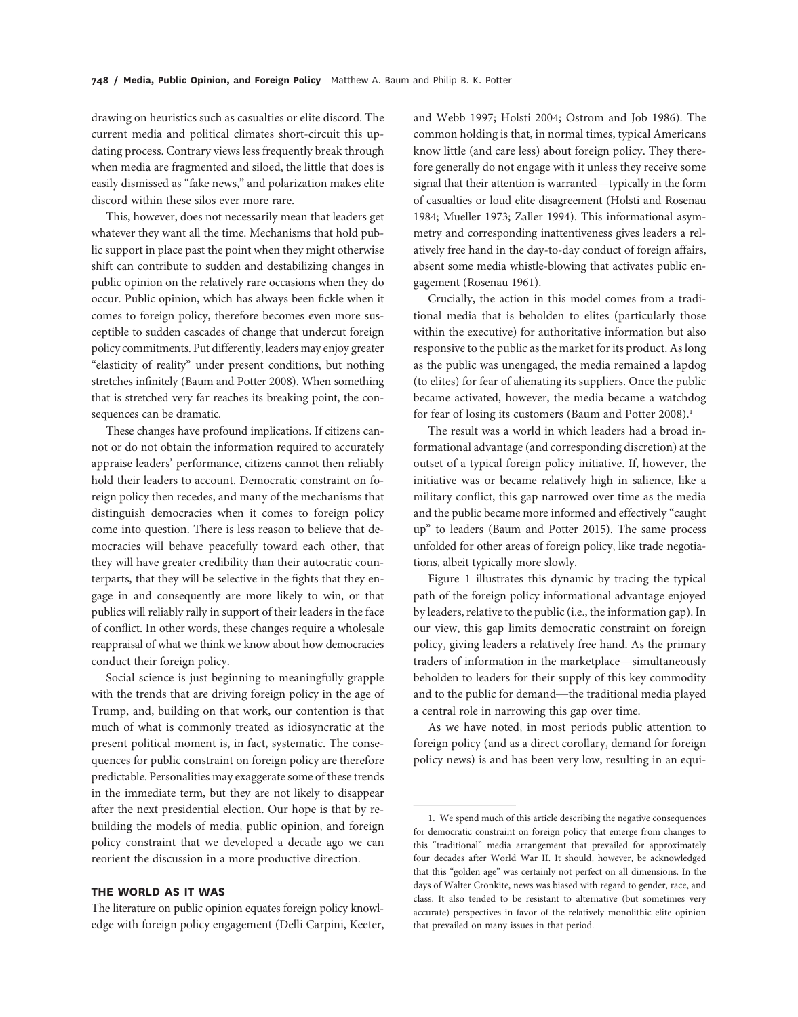drawing on heuristics such as casualties or elite discord. The current media and political climates short-circuit this updating process. Contrary views less frequently break through when media are fragmented and siloed, the little that does is easily dismissed as "fake news," and polarization makes elite discord within these silos ever more rare.

This, however, does not necessarily mean that leaders get whatever they want all the time. Mechanisms that hold public support in place past the point when they might otherwise shift can contribute to sudden and destabilizing changes in public opinion on the relatively rare occasions when they do occur. Public opinion, which has always been fickle when it comes to foreign policy, therefore becomes even more susceptible to sudden cascades of change that undercut foreign policy commitments. Put differently, leaders may enjoy greater "elasticity of reality" under present conditions, but nothing stretches infinitely (Baum and Potter 2008). When something that is stretched very far reaches its breaking point, the consequences can be dramatic.

These changes have profound implications. If citizens cannot or do not obtain the information required to accurately appraise leaders' performance, citizens cannot then reliably hold their leaders to account. Democratic constraint on foreign policy then recedes, and many of the mechanisms that distinguish democracies when it comes to foreign policy come into question. There is less reason to believe that democracies will behave peacefully toward each other, that they will have greater credibility than their autocratic counterparts, that they will be selective in the fights that they engage in and consequently are more likely to win, or that publics will reliably rally in support of their leaders in the face of conflict. In other words, these changes require a wholesale reappraisal of what we think we know about how democracies conduct their foreign policy.

Social science is just beginning to meaningfully grapple with the trends that are driving foreign policy in the age of Trump, and, building on that work, our contention is that much of what is commonly treated as idiosyncratic at the present political moment is, in fact, systematic. The consequences for public constraint on foreign policy are therefore predictable. Personalities may exaggerate some of these trends in the immediate term, but they are not likely to disappear after the next presidential election. Our hope is that by rebuilding the models of media, public opinion, and foreign policy constraint that we developed a decade ago we can reorient the discussion in a more productive direction.

### THE WORLD AS IT WAS

The literature on public opinion equates foreign policy knowledge with foreign policy engagement (Delli Carpini, Keeter, and Webb 1997; Holsti 2004; Ostrom and Job 1986). The common holding is that, in normal times, typical Americans know little (and care less) about foreign policy. They therefore generally do not engage with it unless they receive some signal that their attention is warranted—typically in the form of casualties or loud elite disagreement (Holsti and Rosenau 1984; Mueller 1973; Zaller 1994). This informational asymmetry and corresponding inattentiveness gives leaders a relatively free hand in the day-to-day conduct of foreign affairs, absent some media whistle-blowing that activates public engagement (Rosenau 1961).

Crucially, the action in this model comes from a traditional media that is beholden to elites (particularly those within the executive) for authoritative information but also responsive to the public as the market for its product. As long as the public was unengaged, the media remained a lapdog (to elites) for fear of alienating its suppliers. Once the public became activated, however, the media became a watchdog for fear of losing its customers (Baum and Potter 2008).<sup>1</sup>

The result was a world in which leaders had a broad informational advantage (and corresponding discretion) at the outset of a typical foreign policy initiative. If, however, the initiative was or became relatively high in salience, like a military conflict, this gap narrowed over time as the media and the public became more informed and effectively "caught up" to leaders (Baum and Potter 2015). The same process unfolded for other areas of foreign policy, like trade negotiations, albeit typically more slowly.

Figure 1 illustrates this dynamic by tracing the typical path of the foreign policy informational advantage enjoyed by leaders, relative to the public (i.e., the information gap). In our view, this gap limits democratic constraint on foreign policy, giving leaders a relatively free hand. As the primary traders of information in the marketplace—simultaneously beholden to leaders for their supply of this key commodity and to the public for demand—the traditional media played a central role in narrowing this gap over time.

As we have noted, in most periods public attention to foreign policy (and as a direct corollary, demand for foreign policy news) is and has been very low, resulting in an equi-

<sup>1.</sup> We spend much of this article describing the negative consequences for democratic constraint on foreign policy that emerge from changes to this "traditional" media arrangement that prevailed for approximately four decades after World War II. It should, however, be acknowledged that this "golden age" was certainly not perfect on all dimensions. In the days of Walter Cronkite, news was biased with regard to gender, race, and class. It also tended to be resistant to alternative (but sometimes very accurate) perspectives in favor of the relatively monolithic elite opinion that prevailed on many issues in that period.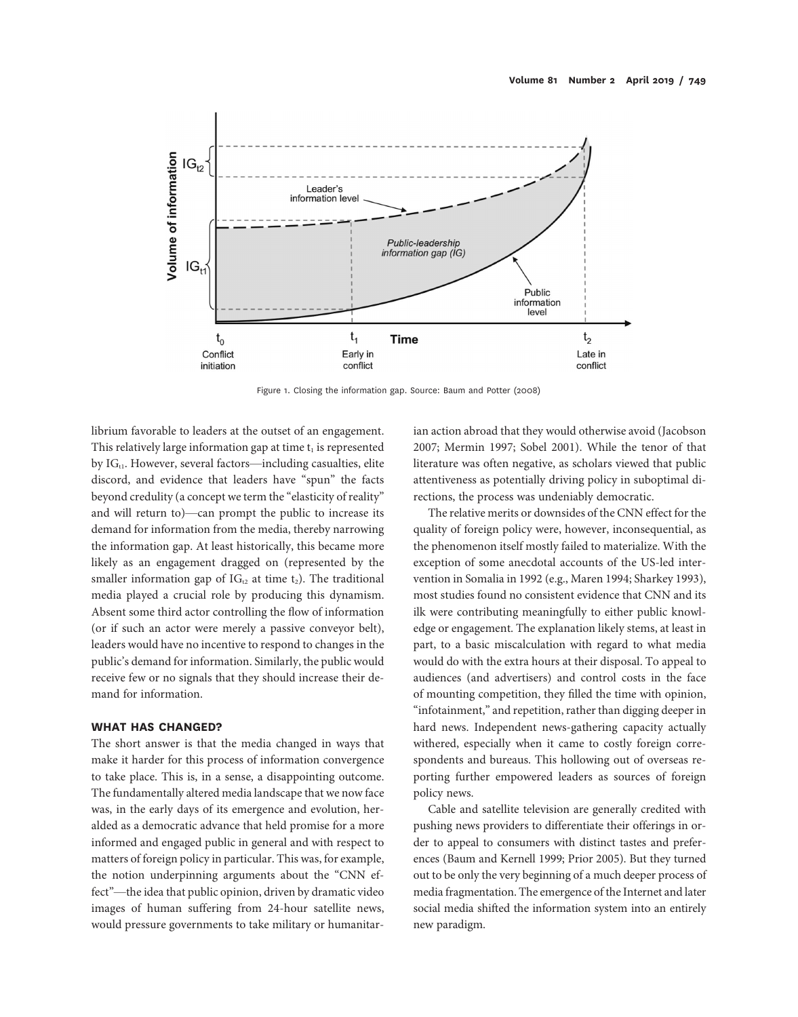

Figure 1. Closing the information gap. Source: Baum and Potter (2008)

librium favorable to leaders at the outset of an engagement. This relatively large information gap at time  $t<sub>1</sub>$  is represented by  $IG_{t1}$ . However, several factors—including casualties, elite discord, and evidence that leaders have "spun" the facts beyond credulity (a concept we term the "elasticity of reality" and will return to)—can prompt the public to increase its demand for information from the media, thereby narrowing the information gap. At least historically, this became more likely as an engagement dragged on (represented by the smaller information gap of  $IG_{t2}$  at time  $t_2$ ). The traditional media played a crucial role by producing this dynamism. Absent some third actor controlling the flow of information (or if such an actor were merely a passive conveyor belt), leaders would have no incentive to respond to changes in the public's demand for information. Similarly, the public would receive few or no signals that they should increase their demand for information.

# WHAT HAS CHANGED?

The short answer is that the media changed in ways that make it harder for this process of information convergence to take place. This is, in a sense, a disappointing outcome. The fundamentally altered media landscape that we now face was, in the early days of its emergence and evolution, heralded as a democratic advance that held promise for a more informed and engaged public in general and with respect to matters of foreign policy in particular. This was, for example, the notion underpinning arguments about the "CNN effect"—the idea that public opinion, driven by dramatic video images of human suffering from 24-hour satellite news, would pressure governments to take military or humanitarian action abroad that they would otherwise avoid (Jacobson 2007; Mermin 1997; Sobel 2001). While the tenor of that literature was often negative, as scholars viewed that public attentiveness as potentially driving policy in suboptimal directions, the process was undeniably democratic.

The relative merits or downsides of the CNN effect for the quality of foreign policy were, however, inconsequential, as the phenomenon itself mostly failed to materialize. With the exception of some anecdotal accounts of the US-led intervention in Somalia in 1992 (e.g., Maren 1994; Sharkey 1993), most studies found no consistent evidence that CNN and its ilk were contributing meaningfully to either public knowledge or engagement. The explanation likely stems, at least in part, to a basic miscalculation with regard to what media would do with the extra hours at their disposal. To appeal to audiences (and advertisers) and control costs in the face of mounting competition, they filled the time with opinion, "infotainment," and repetition, rather than digging deeper in hard news. Independent news-gathering capacity actually withered, especially when it came to costly foreign correspondents and bureaus. This hollowing out of overseas reporting further empowered leaders as sources of foreign policy news.

Cable and satellite television are generally credited with pushing news providers to differentiate their offerings in order to appeal to consumers with distinct tastes and preferences (Baum and Kernell 1999; Prior 2005). But they turned out to be only the very beginning of a much deeper process of media fragmentation. The emergence of the Internet and later social media shifted the information system into an entirely new paradigm.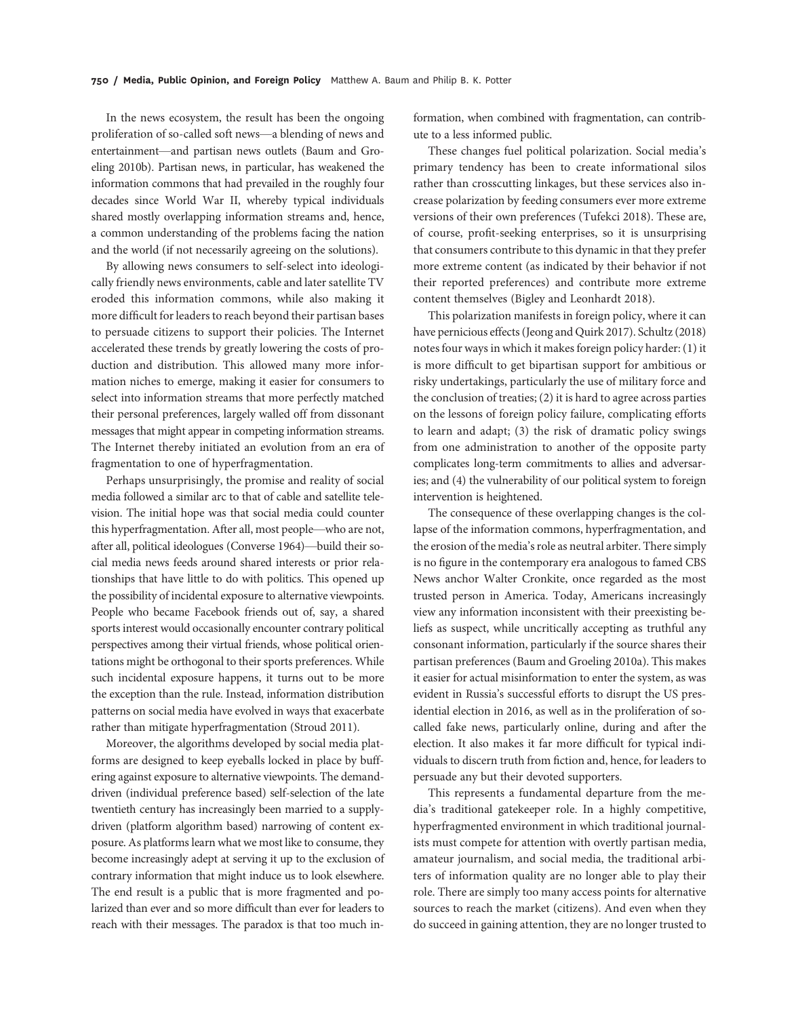In the news ecosystem, the result has been the ongoing proliferation of so-called soft news—a blending of news and entertainment—and partisan news outlets (Baum and Groeling 2010b). Partisan news, in particular, has weakened the information commons that had prevailed in the roughly four decades since World War II, whereby typical individuals shared mostly overlapping information streams and, hence, a common understanding of the problems facing the nation and the world (if not necessarily agreeing on the solutions).

By allowing news consumers to self-select into ideologically friendly news environments, cable and later satellite TV eroded this information commons, while also making it more difficult for leaders to reach beyond their partisan bases to persuade citizens to support their policies. The Internet accelerated these trends by greatly lowering the costs of production and distribution. This allowed many more information niches to emerge, making it easier for consumers to select into information streams that more perfectly matched their personal preferences, largely walled off from dissonant messages that might appear in competing information streams. The Internet thereby initiated an evolution from an era of fragmentation to one of hyperfragmentation.

Perhaps unsurprisingly, the promise and reality of social media followed a similar arc to that of cable and satellite television. The initial hope was that social media could counter this hyperfragmentation. After all, most people—who are not, after all, political ideologues (Converse 1964)—build their social media news feeds around shared interests or prior relationships that have little to do with politics. This opened up the possibility of incidental exposure to alternative viewpoints. People who became Facebook friends out of, say, a shared sports interest would occasionally encounter contrary political perspectives among their virtual friends, whose political orientations might be orthogonal to their sports preferences. While such incidental exposure happens, it turns out to be more the exception than the rule. Instead, information distribution patterns on social media have evolved in ways that exacerbate rather than mitigate hyperfragmentation (Stroud 2011).

Moreover, the algorithms developed by social media platforms are designed to keep eyeballs locked in place by buffering against exposure to alternative viewpoints. The demanddriven (individual preference based) self-selection of the late twentieth century has increasingly been married to a supplydriven (platform algorithm based) narrowing of content exposure. As platforms learn what we most like to consume, they become increasingly adept at serving it up to the exclusion of contrary information that might induce us to look elsewhere. The end result is a public that is more fragmented and polarized than ever and so more difficult than ever for leaders to reach with their messages. The paradox is that too much in-

formation, when combined with fragmentation, can contribute to a less informed public.

These changes fuel political polarization. Social media's primary tendency has been to create informational silos rather than crosscutting linkages, but these services also increase polarization by feeding consumers ever more extreme versions of their own preferences (Tufekci 2018). These are, of course, profit-seeking enterprises, so it is unsurprising that consumers contribute to this dynamic in that they prefer more extreme content (as indicated by their behavior if not their reported preferences) and contribute more extreme content themselves (Bigley and Leonhardt 2018).

This polarization manifests in foreign policy, where it can have pernicious effects (Jeong and Quirk 2017). Schultz (2018) notes four ways in which it makes foreign policy harder: (1) it is more difficult to get bipartisan support for ambitious or risky undertakings, particularly the use of military force and the conclusion of treaties; (2) it is hard to agree across parties on the lessons of foreign policy failure, complicating efforts to learn and adapt; (3) the risk of dramatic policy swings from one administration to another of the opposite party complicates long-term commitments to allies and adversaries; and (4) the vulnerability of our political system to foreign intervention is heightened.

The consequence of these overlapping changes is the collapse of the information commons, hyperfragmentation, and the erosion of the media's role as neutral arbiter. There simply is no figure in the contemporary era analogous to famed CBS News anchor Walter Cronkite, once regarded as the most trusted person in America. Today, Americans increasingly view any information inconsistent with their preexisting beliefs as suspect, while uncritically accepting as truthful any consonant information, particularly if the source shares their partisan preferences (Baum and Groeling 2010a). This makes it easier for actual misinformation to enter the system, as was evident in Russia's successful efforts to disrupt the US presidential election in 2016, as well as in the proliferation of socalled fake news, particularly online, during and after the election. It also makes it far more difficult for typical individuals to discern truth from fiction and, hence, for leaders to persuade any but their devoted supporters.

This represents a fundamental departure from the media's traditional gatekeeper role. In a highly competitive, hyperfragmented environment in which traditional journalists must compete for attention with overtly partisan media, amateur journalism, and social media, the traditional arbiters of information quality are no longer able to play their role. There are simply too many access points for alternative sources to reach the market (citizens). And even when they do succeed in gaining attention, they are no longer trusted to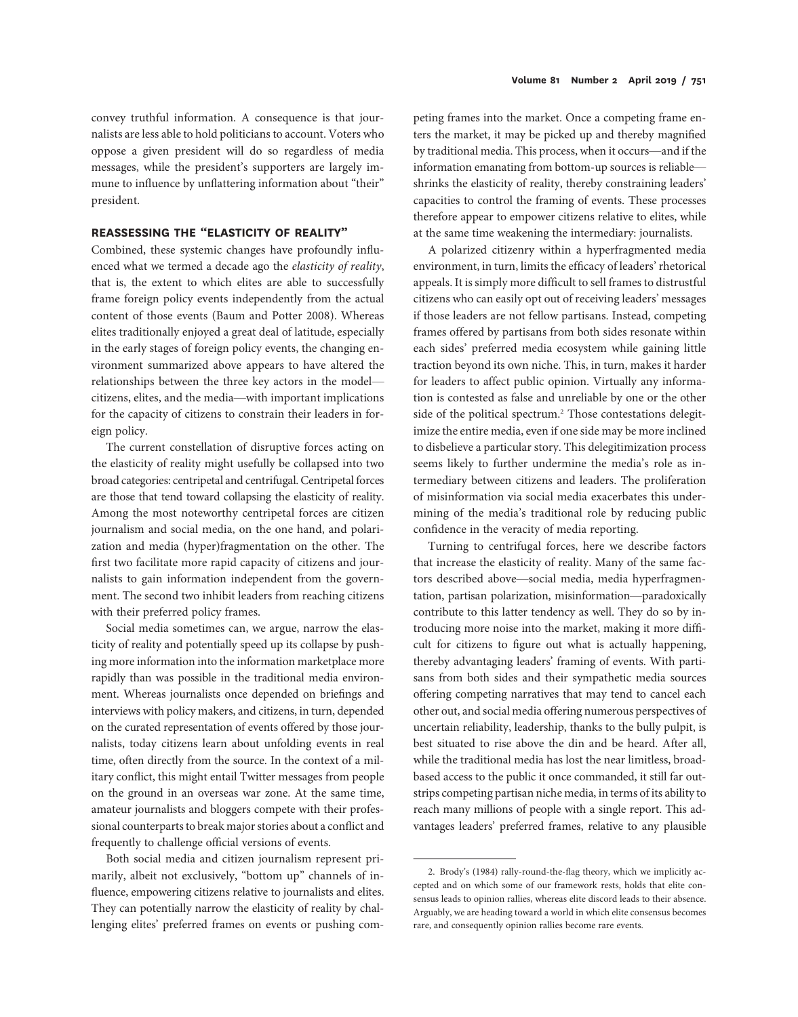convey truthful information. A consequence is that journalists are less able to hold politicians to account. Voters who oppose a given president will do so regardless of media messages, while the president's supporters are largely immune to influence by unflattering information about "their" president.

# REASSESSING THE "ELASTICITY OF REALITY"

Combined, these systemic changes have profoundly influenced what we termed a decade ago the elasticity of reality, that is, the extent to which elites are able to successfully frame foreign policy events independently from the actual content of those events (Baum and Potter 2008). Whereas elites traditionally enjoyed a great deal of latitude, especially in the early stages of foreign policy events, the changing environment summarized above appears to have altered the relationships between the three key actors in the model citizens, elites, and the media—with important implications for the capacity of citizens to constrain their leaders in foreign policy.

The current constellation of disruptive forces acting on the elasticity of reality might usefully be collapsed into two broad categories: centripetal and centrifugal. Centripetal forces are those that tend toward collapsing the elasticity of reality. Among the most noteworthy centripetal forces are citizen journalism and social media, on the one hand, and polarization and media (hyper)fragmentation on the other. The first two facilitate more rapid capacity of citizens and journalists to gain information independent from the government. The second two inhibit leaders from reaching citizens with their preferred policy frames.

Social media sometimes can, we argue, narrow the elasticity of reality and potentially speed up its collapse by pushing more information into the information marketplace more rapidly than was possible in the traditional media environment. Whereas journalists once depended on briefings and interviews with policy makers, and citizens, in turn, depended on the curated representation of events offered by those journalists, today citizens learn about unfolding events in real time, often directly from the source. In the context of a military conflict, this might entail Twitter messages from people on the ground in an overseas war zone. At the same time, amateur journalists and bloggers compete with their professional counterparts to break major stories about a conflict and frequently to challenge official versions of events.

Both social media and citizen journalism represent primarily, albeit not exclusively, "bottom up" channels of influence, empowering citizens relative to journalists and elites. They can potentially narrow the elasticity of reality by challenging elites' preferred frames on events or pushing com-

peting frames into the market. Once a competing frame enters the market, it may be picked up and thereby magnified by traditional media. This process, when it occurs—and if the information emanating from bottom-up sources is reliable shrinks the elasticity of reality, thereby constraining leaders' capacities to control the framing of events. These processes therefore appear to empower citizens relative to elites, while at the same time weakening the intermediary: journalists.

A polarized citizenry within a hyperfragmented media environment, in turn, limits the efficacy of leaders' rhetorical appeals. It is simply more difficult to sell frames to distrustful citizens who can easily opt out of receiving leaders' messages if those leaders are not fellow partisans. Instead, competing frames offered by partisans from both sides resonate within each sides' preferred media ecosystem while gaining little traction beyond its own niche. This, in turn, makes it harder for leaders to affect public opinion. Virtually any information is contested as false and unreliable by one or the other side of the political spectrum.<sup>2</sup> Those contestations delegitimize the entire media, even if one side may be more inclined to disbelieve a particular story. This delegitimization process seems likely to further undermine the media's role as intermediary between citizens and leaders. The proliferation of misinformation via social media exacerbates this undermining of the media's traditional role by reducing public confidence in the veracity of media reporting.

Turning to centrifugal forces, here we describe factors that increase the elasticity of reality. Many of the same factors described above—social media, media hyperfragmentation, partisan polarization, misinformation—paradoxically contribute to this latter tendency as well. They do so by introducing more noise into the market, making it more difficult for citizens to figure out what is actually happening, thereby advantaging leaders' framing of events. With partisans from both sides and their sympathetic media sources offering competing narratives that may tend to cancel each other out, and social media offering numerous perspectives of uncertain reliability, leadership, thanks to the bully pulpit, is best situated to rise above the din and be heard. After all, while the traditional media has lost the near limitless, broadbased access to the public it once commanded, it still far outstrips competing partisan niche media, in terms of its ability to reach many millions of people with a single report. This advantages leaders' preferred frames, relative to any plausible

<sup>2.</sup> Brody's (1984) rally-round-the-flag theory, which we implicitly accepted and on which some of our framework rests, holds that elite consensus leads to opinion rallies, whereas elite discord leads to their absence. Arguably, we are heading toward a world in which elite consensus becomes rare, and consequently opinion rallies become rare events.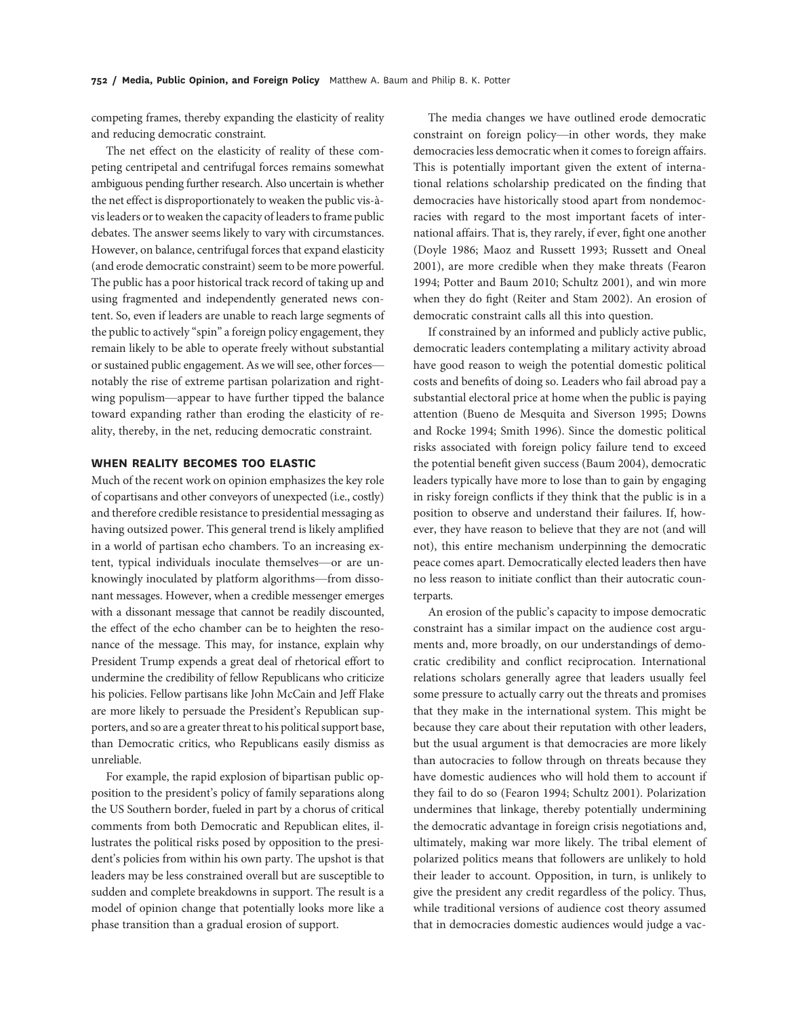competing frames, thereby expanding the elasticity of reality and reducing democratic constraint.

The net effect on the elasticity of reality of these competing centripetal and centrifugal forces remains somewhat ambiguous pending further research. Also uncertain is whether the net effect is disproportionately to weaken the public vis-àvis leaders or to weaken the capacity of leaders to frame public debates. The answer seems likely to vary with circumstances. However, on balance, centrifugal forces that expand elasticity (and erode democratic constraint) seem to be more powerful. The public has a poor historical track record of taking up and using fragmented and independently generated news content. So, even if leaders are unable to reach large segments of the public to actively "spin" a foreign policy engagement, they remain likely to be able to operate freely without substantial or sustained public engagement. As we will see, other forces notably the rise of extreme partisan polarization and rightwing populism—appear to have further tipped the balance toward expanding rather than eroding the elasticity of reality, thereby, in the net, reducing democratic constraint.

## WHEN REALITY BECOMES TOO ELASTIC

Much of the recent work on opinion emphasizes the key role of copartisans and other conveyors of unexpected (i.e., costly) and therefore credible resistance to presidential messaging as having outsized power. This general trend is likely amplified in a world of partisan echo chambers. To an increasing extent, typical individuals inoculate themselves—or are unknowingly inoculated by platform algorithms—from dissonant messages. However, when a credible messenger emerges with a dissonant message that cannot be readily discounted, the effect of the echo chamber can be to heighten the resonance of the message. This may, for instance, explain why President Trump expends a great deal of rhetorical effort to undermine the credibility of fellow Republicans who criticize his policies. Fellow partisans like John McCain and Jeff Flake are more likely to persuade the President's Republican supporters, and so are a greater threat to his political support base, than Democratic critics, who Republicans easily dismiss as unreliable.

For example, the rapid explosion of bipartisan public opposition to the president's policy of family separations along the US Southern border, fueled in part by a chorus of critical comments from both Democratic and Republican elites, illustrates the political risks posed by opposition to the president's policies from within his own party. The upshot is that leaders may be less constrained overall but are susceptible to sudden and complete breakdowns in support. The result is a model of opinion change that potentially looks more like a phase transition than a gradual erosion of support.

The media changes we have outlined erode democratic constraint on foreign policy—in other words, they make democracies less democratic when it comes to foreign affairs. This is potentially important given the extent of international relations scholarship predicated on the finding that democracies have historically stood apart from nondemocracies with regard to the most important facets of international affairs. That is, they rarely, if ever, fight one another (Doyle 1986; Maoz and Russett 1993; Russett and Oneal 2001), are more credible when they make threats (Fearon 1994; Potter and Baum 2010; Schultz 2001), and win more when they do fight (Reiter and Stam 2002). An erosion of democratic constraint calls all this into question.

If constrained by an informed and publicly active public, democratic leaders contemplating a military activity abroad have good reason to weigh the potential domestic political costs and benefits of doing so. Leaders who fail abroad pay a substantial electoral price at home when the public is paying attention (Bueno de Mesquita and Siverson 1995; Downs and Rocke 1994; Smith 1996). Since the domestic political risks associated with foreign policy failure tend to exceed the potential benefit given success (Baum 2004), democratic leaders typically have more to lose than to gain by engaging in risky foreign conflicts if they think that the public is in a position to observe and understand their failures. If, however, they have reason to believe that they are not (and will not), this entire mechanism underpinning the democratic peace comes apart. Democratically elected leaders then have no less reason to initiate conflict than their autocratic counterparts.

An erosion of the public's capacity to impose democratic constraint has a similar impact on the audience cost arguments and, more broadly, on our understandings of democratic credibility and conflict reciprocation. International relations scholars generally agree that leaders usually feel some pressure to actually carry out the threats and promises that they make in the international system. This might be because they care about their reputation with other leaders, but the usual argument is that democracies are more likely than autocracies to follow through on threats because they have domestic audiences who will hold them to account if they fail to do so (Fearon 1994; Schultz 2001). Polarization undermines that linkage, thereby potentially undermining the democratic advantage in foreign crisis negotiations and, ultimately, making war more likely. The tribal element of polarized politics means that followers are unlikely to hold their leader to account. Opposition, in turn, is unlikely to give the president any credit regardless of the policy. Thus, while traditional versions of audience cost theory assumed that in democracies domestic audiences would judge a vac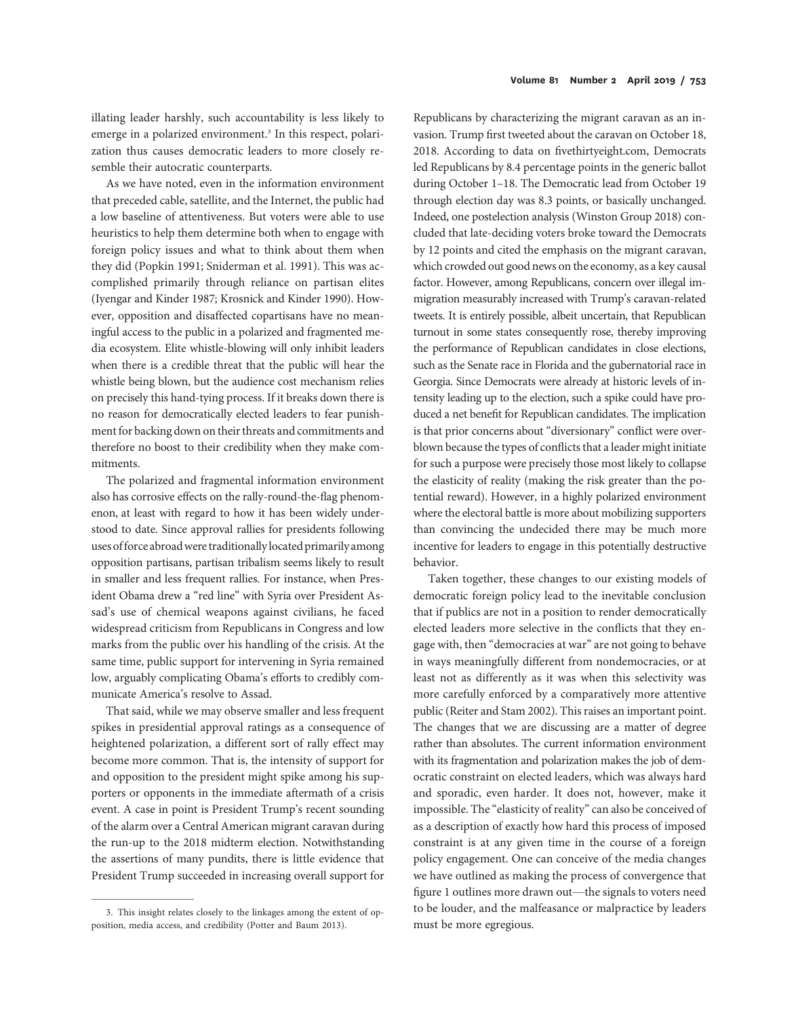illating leader harshly, such accountability is less likely to emerge in a polarized environment.<sup>3</sup> In this respect, polarization thus causes democratic leaders to more closely resemble their autocratic counterparts.

As we have noted, even in the information environment that preceded cable, satellite, and the Internet, the public had a low baseline of attentiveness. But voters were able to use heuristics to help them determine both when to engage with foreign policy issues and what to think about them when they did (Popkin 1991; Sniderman et al. 1991). This was accomplished primarily through reliance on partisan elites (Iyengar and Kinder 1987; Krosnick and Kinder 1990). However, opposition and disaffected copartisans have no meaningful access to the public in a polarized and fragmented media ecosystem. Elite whistle-blowing will only inhibit leaders when there is a credible threat that the public will hear the whistle being blown, but the audience cost mechanism relies on precisely this hand-tying process. If it breaks down there is no reason for democratically elected leaders to fear punishment for backing down on their threats and commitments and therefore no boost to their credibility when they make commitments.

The polarized and fragmental information environment also has corrosive effects on the rally-round-the-flag phenomenon, at least with regard to how it has been widely understood to date. Since approval rallies for presidents following uses offorce abroadwere traditionallylocated primarily among opposition partisans, partisan tribalism seems likely to result in smaller and less frequent rallies. For instance, when President Obama drew a "red line" with Syria over President Assad's use of chemical weapons against civilians, he faced widespread criticism from Republicans in Congress and low marks from the public over his handling of the crisis. At the same time, public support for intervening in Syria remained low, arguably complicating Obama's efforts to credibly communicate America's resolve to Assad.

That said, while we may observe smaller and less frequent spikes in presidential approval ratings as a consequence of heightened polarization, a different sort of rally effect may become more common. That is, the intensity of support for and opposition to the president might spike among his supporters or opponents in the immediate aftermath of a crisis event. A case in point is President Trump's recent sounding of the alarm over a Central American migrant caravan during the run-up to the 2018 midterm election. Notwithstanding the assertions of many pundits, there is little evidence that President Trump succeeded in increasing overall support for

Republicans by characterizing the migrant caravan as an invasion. Trump first tweeted about the caravan on October 18, 2018. According to data on fivethirtyeight.com, Democrats led Republicans by 8.4 percentage points in the generic ballot during October 1–18. The Democratic lead from October 19 through election day was 8.3 points, or basically unchanged. Indeed, one postelection analysis (Winston Group 2018) concluded that late-deciding voters broke toward the Democrats by 12 points and cited the emphasis on the migrant caravan, which crowded out good news on the economy, as a key causal factor. However, among Republicans, concern over illegal immigration measurably increased with Trump's caravan-related tweets. It is entirely possible, albeit uncertain, that Republican turnout in some states consequently rose, thereby improving the performance of Republican candidates in close elections, such as the Senate race in Florida and the gubernatorial race in Georgia. Since Democrats were already at historic levels of intensity leading up to the election, such a spike could have produced a net benefit for Republican candidates. The implication is that prior concerns about "diversionary" conflict were overblown because the types of conflicts that a leader might initiate for such a purpose were precisely those most likely to collapse the elasticity of reality (making the risk greater than the potential reward). However, in a highly polarized environment where the electoral battle is more about mobilizing supporters than convincing the undecided there may be much more incentive for leaders to engage in this potentially destructive behavior.

Taken together, these changes to our existing models of democratic foreign policy lead to the inevitable conclusion that if publics are not in a position to render democratically elected leaders more selective in the conflicts that they engage with, then "democracies at war" are not going to behave in ways meaningfully different from nondemocracies, or at least not as differently as it was when this selectivity was more carefully enforced by a comparatively more attentive public (Reiter and Stam 2002). This raises an important point. The changes that we are discussing are a matter of degree rather than absolutes. The current information environment with its fragmentation and polarization makes the job of democratic constraint on elected leaders, which was always hard and sporadic, even harder. It does not, however, make it impossible. The "elasticity of reality" can also be conceived of as a description of exactly how hard this process of imposed constraint is at any given time in the course of a foreign policy engagement. One can conceive of the media changes we have outlined as making the process of convergence that figure 1 outlines more drawn out—the signals to voters need to be louder, and the malfeasance or malpractice by leaders must be more egregious.

<sup>3.</sup> This insight relates closely to the linkages among the extent of opposition, media access, and credibility (Potter and Baum 2013).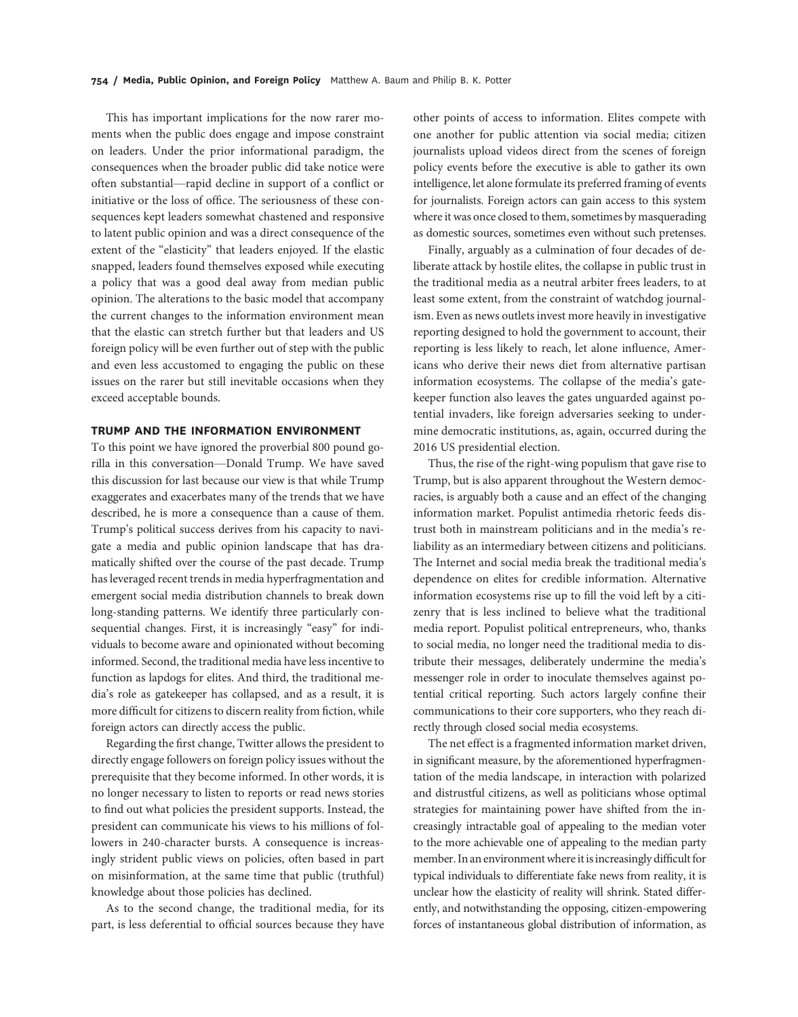This has important implications for the now rarer moments when the public does engage and impose constraint on leaders. Under the prior informational paradigm, the consequences when the broader public did take notice were often substantial—rapid decline in support of a conflict or initiative or the loss of office. The seriousness of these consequences kept leaders somewhat chastened and responsive to latent public opinion and was a direct consequence of the extent of the "elasticity" that leaders enjoyed. If the elastic snapped, leaders found themselves exposed while executing a policy that was a good deal away from median public opinion. The alterations to the basic model that accompany the current changes to the information environment mean that the elastic can stretch further but that leaders and US foreign policy will be even further out of step with the public and even less accustomed to engaging the public on these issues on the rarer but still inevitable occasions when they exceed acceptable bounds.

### TRUMP AND THE INFORMATION ENVIRONMENT

To this point we have ignored the proverbial 800 pound gorilla in this conversation—Donald Trump. We have saved this discussion for last because our view is that while Trump exaggerates and exacerbates many of the trends that we have described, he is more a consequence than a cause of them. Trump's political success derives from his capacity to navigate a media and public opinion landscape that has dramatically shifted over the course of the past decade. Trump has leveraged recent trends in media hyperfragmentation and emergent social media distribution channels to break down long-standing patterns. We identify three particularly consequential changes. First, it is increasingly "easy" for individuals to become aware and opinionated without becoming informed. Second, the traditional media have less incentive to function as lapdogs for elites. And third, the traditional media's role as gatekeeper has collapsed, and as a result, it is more difficult for citizens to discern reality from fiction, while foreign actors can directly access the public.

Regarding the first change, Twitter allows the president to directly engage followers on foreign policy issues without the prerequisite that they become informed. In other words, it is no longer necessary to listen to reports or read news stories to find out what policies the president supports. Instead, the president can communicate his views to his millions of followers in 240-character bursts. A consequence is increasingly strident public views on policies, often based in part on misinformation, at the same time that public (truthful) knowledge about those policies has declined.

As to the second change, the traditional media, for its part, is less deferential to official sources because they have other points of access to information. Elites compete with one another for public attention via social media; citizen journalists upload videos direct from the scenes of foreign policy events before the executive is able to gather its own intelligence, let alone formulate its preferred framing of events for journalists. Foreign actors can gain access to this system where it was once closed to them, sometimes by masquerading as domestic sources, sometimes even without such pretenses.

Finally, arguably as a culmination of four decades of deliberate attack by hostile elites, the collapse in public trust in the traditional media as a neutral arbiter frees leaders, to at least some extent, from the constraint of watchdog journalism. Even as news outlets invest more heavily in investigative reporting designed to hold the government to account, their reporting is less likely to reach, let alone influence, Americans who derive their news diet from alternative partisan information ecosystems. The collapse of the media's gatekeeper function also leaves the gates unguarded against potential invaders, like foreign adversaries seeking to undermine democratic institutions, as, again, occurred during the 2016 US presidential election.

Thus, the rise of the right-wing populism that gave rise to Trump, but is also apparent throughout the Western democracies, is arguably both a cause and an effect of the changing information market. Populist antimedia rhetoric feeds distrust both in mainstream politicians and in the media's reliability as an intermediary between citizens and politicians. The Internet and social media break the traditional media's dependence on elites for credible information. Alternative information ecosystems rise up to fill the void left by a citizenry that is less inclined to believe what the traditional media report. Populist political entrepreneurs, who, thanks to social media, no longer need the traditional media to distribute their messages, deliberately undermine the media's messenger role in order to inoculate themselves against potential critical reporting. Such actors largely confine their communications to their core supporters, who they reach directly through closed social media ecosystems.

The net effect is a fragmented information market driven, in significant measure, by the aforementioned hyperfragmentation of the media landscape, in interaction with polarized and distrustful citizens, as well as politicians whose optimal strategies for maintaining power have shifted from the increasingly intractable goal of appealing to the median voter to the more achievable one of appealing to the median party member. In an environment where it is increasingly difficult for typical individuals to differentiate fake news from reality, it is unclear how the elasticity of reality will shrink. Stated differently, and notwithstanding the opposing, citizen-empowering forces of instantaneous global distribution of information, as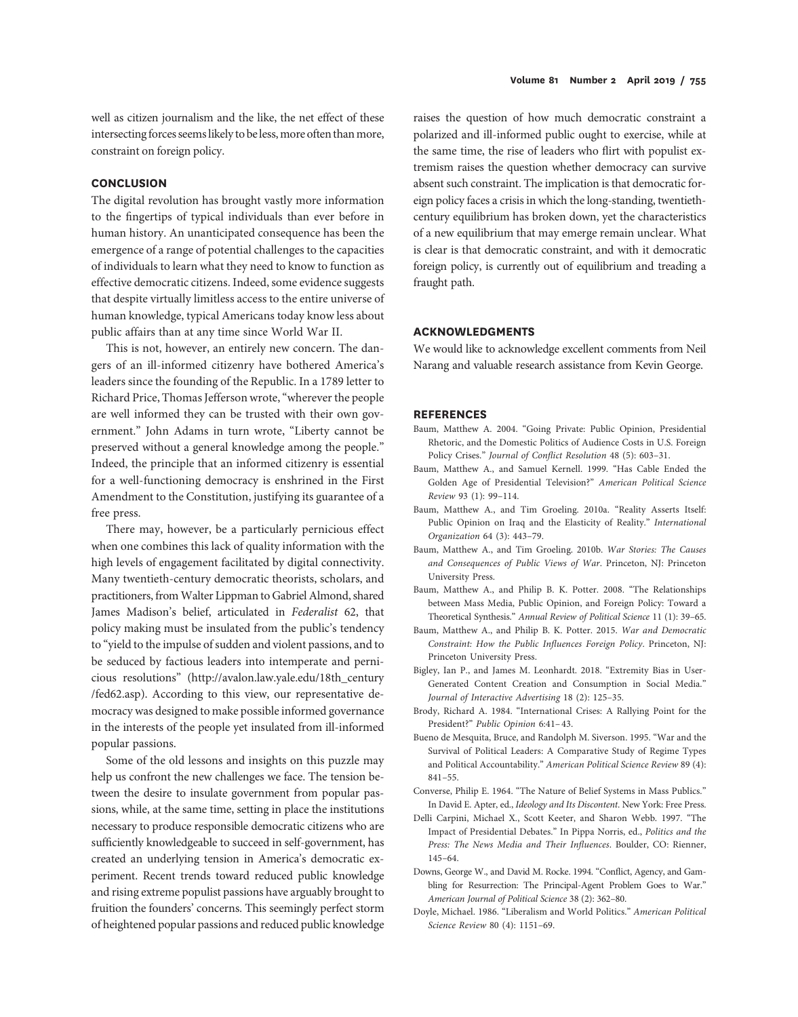well as citizen journalism and the like, the net effect of these intersecting forces seems likely to be less, more often than more, constraint on foreign policy.

## **CONCLUSION**

The digital revolution has brought vastly more information to the fingertips of typical individuals than ever before in human history. An unanticipated consequence has been the emergence of a range of potential challenges to the capacities of individuals to learn what they need to know to function as effective democratic citizens. Indeed, some evidence suggests that despite virtually limitless access to the entire universe of human knowledge, typical Americans today know less about public affairs than at any time since World War II.

This is not, however, an entirely new concern. The dangers of an ill-informed citizenry have bothered America's leaders since the founding of the Republic. In a 1789 letter to Richard Price, Thomas Jefferson wrote,"wherever the people are well informed they can be trusted with their own government." John Adams in turn wrote, "Liberty cannot be preserved without a general knowledge among the people." Indeed, the principle that an informed citizenry is essential for a well-functioning democracy is enshrined in the First Amendment to the Constitution, justifying its guarantee of a free press.

There may, however, be a particularly pernicious effect when one combines this lack of quality information with the high levels of engagement facilitated by digital connectivity. Many twentieth-century democratic theorists, scholars, and practitioners, from Walter Lippman to Gabriel Almond, shared James Madison's belief, articulated in Federalist 62, that policy making must be insulated from the public's tendency to "yield to the impulse of sudden and violent passions, and to be seduced by factious leaders into intemperate and pernicious resolutions" (http://avalon.law.yale.edu/18th\_century /fed62.asp). According to this view, our representative democracy was designed to make possible informed governance in the interests of the people yet insulated from ill-informed popular passions.

Some of the old lessons and insights on this puzzle may help us confront the new challenges we face. The tension between the desire to insulate government from popular passions, while, at the same time, setting in place the institutions necessary to produce responsible democratic citizens who are sufficiently knowledgeable to succeed in self-government, has created an underlying tension in America's democratic experiment. Recent trends toward reduced public knowledge and rising extreme populist passions have arguably brought to fruition the founders' concerns. This seemingly perfect storm of heightened popular passions and reduced public knowledge

raises the question of how much democratic constraint a polarized and ill-informed public ought to exercise, while at the same time, the rise of leaders who flirt with populist extremism raises the question whether democracy can survive absent such constraint. The implication is that democratic foreign policy faces a crisis in which the long-standing, twentiethcentury equilibrium has broken down, yet the characteristics of a new equilibrium that may emerge remain unclear. What is clear is that democratic constraint, and with it democratic foreign policy, is currently out of equilibrium and treading a fraught path.

## ACKNOWLEDGMENTS

We would like to acknowledge excellent comments from Neil Narang and valuable research assistance from Kevin George.

#### REFERENCES

- Baum, Matthew A. 2004. "Going Private: Public Opinion, Presidential Rhetoric, and the Domestic Politics of Audience Costs in U.S. Foreign Policy Crises." Journal of Conflict Resolution 48 (5): 603–31.
- Baum, Matthew A., and Samuel Kernell. 1999. "Has Cable Ended the Golden Age of Presidential Television?" American Political Science Review 93 (1): 99–114.
- Baum, Matthew A., and Tim Groeling. 2010a. "Reality Asserts Itself: Public Opinion on Iraq and the Elasticity of Reality." International Organization 64 (3): 443–79.
- Baum, Matthew A., and Tim Groeling. 2010b. War Stories: The Causes and Consequences of Public Views of War. Princeton, NJ: Princeton University Press.
- Baum, Matthew A., and Philip B. K. Potter. 2008. "The Relationships between Mass Media, Public Opinion, and Foreign Policy: Toward a Theoretical Synthesis." Annual Review of Political Science 11 (1): 39–65.
- Baum, Matthew A., and Philip B. K. Potter. 2015. War and Democratic Constraint: How the Public Influences Foreign Policy. Princeton, NJ: Princeton University Press.
- Bigley, Ian P., and James M. Leonhardt. 2018. "Extremity Bias in User-Generated Content Creation and Consumption in Social Media." Journal of Interactive Advertising 18 (2): 125–35.
- Brody, Richard A. 1984. "International Crises: A Rallying Point for the President?" Public Opinion 6:41– 43.
- Bueno de Mesquita, Bruce, and Randolph M. Siverson. 1995. "War and the Survival of Political Leaders: A Comparative Study of Regime Types and Political Accountability." American Political Science Review 89 (4): 841–55.
- Converse, Philip E. 1964. "The Nature of Belief Systems in Mass Publics." In David E. Apter, ed., Ideology and Its Discontent. New York: Free Press.
- Delli Carpini, Michael X., Scott Keeter, and Sharon Webb. 1997. "The Impact of Presidential Debates." In Pippa Norris, ed., Politics and the Press: The News Media and Their Influences. Boulder, CO: Rienner, 145–64.
- Downs, George W., and David M. Rocke. 1994. "Conflict, Agency, and Gambling for Resurrection: The Principal-Agent Problem Goes to War." American Journal of Political Science 38 (2): 362–80.
- Doyle, Michael. 1986. "Liberalism and World Politics." American Political Science Review 80 (4): 1151–69.